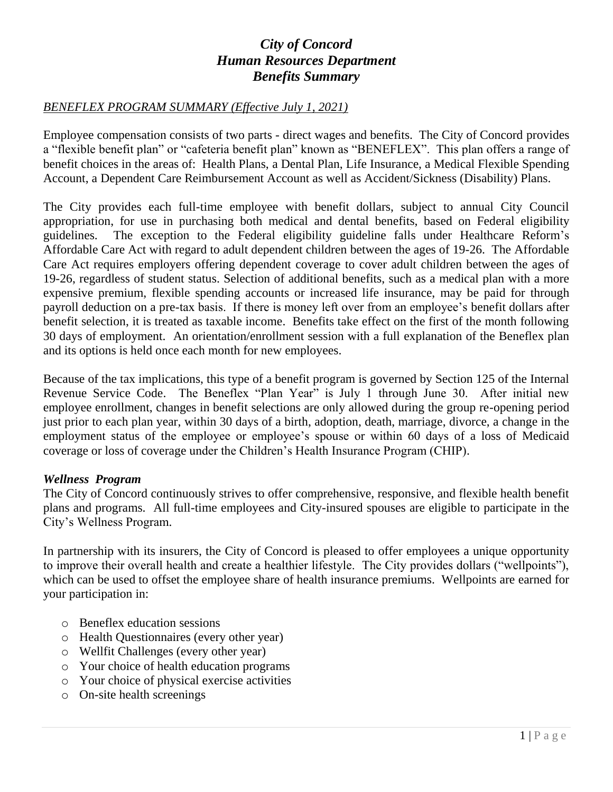## *City of Concord Human Resources Department Benefits Summary*

## *BENEFLEX PROGRAM SUMMARY (Effective July 1, 2021)*

Employee compensation consists of two parts - direct wages and benefits. The City of Concord provides a "flexible benefit plan" or "cafeteria benefit plan" known as "BENEFLEX". This plan offers a range of benefit choices in the areas of: Health Plans, a Dental Plan, Life Insurance, a Medical Flexible Spending Account, a Dependent Care Reimbursement Account as well as Accident/Sickness (Disability) Plans.

The City provides each full-time employee with benefit dollars, subject to annual City Council appropriation, for use in purchasing both medical and dental benefits, based on Federal eligibility guidelines. The exception to the Federal eligibility guideline falls under Healthcare Reform's Affordable Care Act with regard to adult dependent children between the ages of 19-26. The Affordable Care Act requires employers offering dependent coverage to cover adult children between the ages of 19-26, regardless of student status. Selection of additional benefits, such as a medical plan with a more expensive premium, flexible spending accounts or increased life insurance, may be paid for through payroll deduction on a pre-tax basis. If there is money left over from an employee's benefit dollars after benefit selection, it is treated as taxable income. Benefits take effect on the first of the month following 30 days of employment. An orientation/enrollment session with a full explanation of the Beneflex plan and its options is held once each month for new employees.

Because of the tax implications, this type of a benefit program is governed by Section 125 of the Internal Revenue Service Code. The Beneflex "Plan Year" is July 1 through June 30. After initial new employee enrollment, changes in benefit selections are only allowed during the group re-opening period just prior to each plan year, within 30 days of a birth, adoption, death, marriage, divorce, a change in the employment status of the employee or employee's spouse or within 60 days of a loss of Medicaid coverage or loss of coverage under the Children's Health Insurance Program (CHIP).

## *Wellness Program*

The City of Concord continuously strives to offer comprehensive, responsive, and flexible health benefit plans and programs. All full-time employees and City-insured spouses are eligible to participate in the City's Wellness Program.

In partnership with its insurers, the City of Concord is pleased to offer employees a unique opportunity to improve their overall health and create a healthier lifestyle. The City provides dollars ("wellpoints"), which can be used to offset the employee share of health insurance premiums. Wellpoints are earned for your participation in:

- o Beneflex education sessions
- o Health Questionnaires (every other year)
- o Wellfit Challenges (every other year)
- o Your choice of health education programs
- o Your choice of physical exercise activities
- o On-site health screenings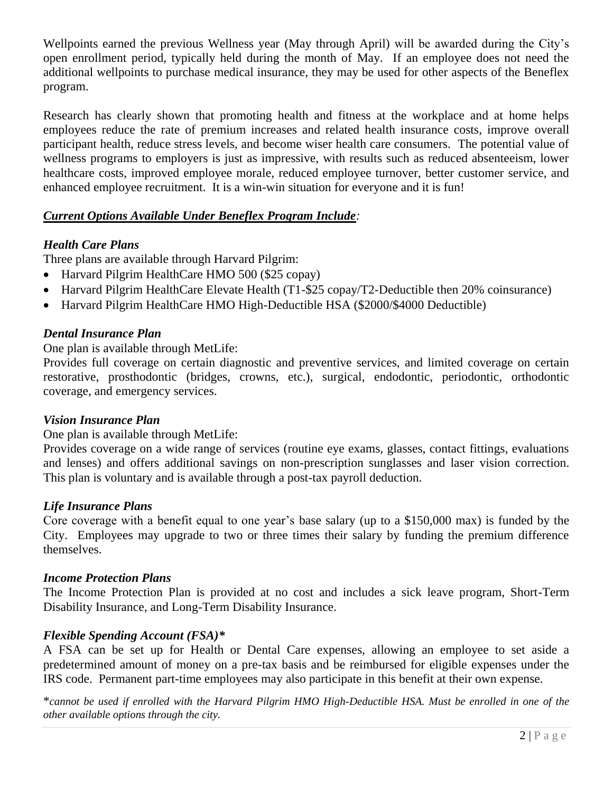Wellpoints earned the previous Wellness year (May through April) will be awarded during the City's open enrollment period, typically held during the month of May. If an employee does not need the additional wellpoints to purchase medical insurance, they may be used for other aspects of the Beneflex program.

Research has clearly shown that promoting health and fitness at the workplace and at home helps employees reduce the rate of premium increases and related health insurance costs, improve overall participant health, reduce stress levels, and become wiser health care consumers. The potential value of wellness programs to employers is just as impressive, with results such as reduced absenteeism, lower healthcare costs, improved employee morale, reduced employee turnover, better customer service, and enhanced employee recruitment. It is a win-win situation for everyone and it is fun!

## *Current Options Available Under Beneflex Program Include:*

## *Health Care Plans*

Three plans are available through Harvard Pilgrim:

- Harvard Pilgrim HealthCare HMO 500 (\$25 copay)
- Harvard Pilgrim HealthCare Elevate Health (T1-\$25 copay/T2-Deductible then 20% coinsurance)
- Harvard Pilgrim HealthCare HMO High-Deductible HSA (\$2000/\$4000 Deductible)

## *Dental Insurance Plan*

One plan is available through MetLife:

Provides full coverage on certain diagnostic and preventive services, and limited coverage on certain restorative, prosthodontic (bridges, crowns, etc.), surgical, endodontic, periodontic, orthodontic coverage, and emergency services.

## *Vision Insurance Plan*

One plan is available through MetLife:

Provides coverage on a wide range of services (routine eye exams, glasses, contact fittings, evaluations and lenses) and offers additional savings on non-prescription sunglasses and laser vision correction. This plan is voluntary and is available through a post-tax payroll deduction.

## *Life Insurance Plans*

Core coverage with a benefit equal to one year's base salary (up to a \$150,000 max) is funded by the City. Employees may upgrade to two or three times their salary by funding the premium difference themselves.

#### *Income Protection Plans*

The Income Protection Plan is provided at no cost and includes a sick leave program, Short-Term Disability Insurance, and Long-Term Disability Insurance.

## *Flexible Spending Account (FSA)\**

A FSA can be set up for Health or Dental Care expenses, allowing an employee to set aside a predetermined amount of money on a pre-tax basis and be reimbursed for eligible expenses under the IRS code. Permanent part-time employees may also participate in this benefit at their own expense.

\**cannot be used if enrolled with the Harvard Pilgrim HMO High-Deductible HSA. Must be enrolled in one of the other available options through the city.*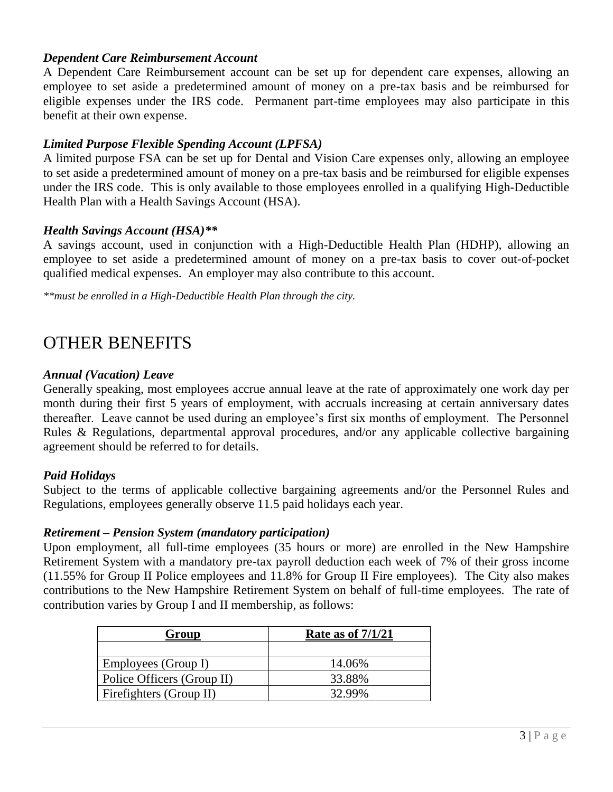## *Dependent Care Reimbursement Account*

A Dependent Care Reimbursement account can be set up for dependent care expenses, allowing an employee to set aside a predetermined amount of money on a pre-tax basis and be reimbursed for eligible expenses under the IRS code. Permanent part-time employees may also participate in this benefit at their own expense.

## *Limited Purpose Flexible Spending Account (LPFSA)*

A limited purpose FSA can be set up for Dental and Vision Care expenses only, allowing an employee to set aside a predetermined amount of money on a pre-tax basis and be reimbursed for eligible expenses under the IRS code. This is only available to those employees enrolled in a qualifying High-Deductible Health Plan with a Health Savings Account (HSA).

## *Health Savings Account (HSA)\*\**

A savings account, used in conjunction with a High-Deductible Health Plan (HDHP), allowing an employee to set aside a predetermined amount of money on a pre-tax basis to cover out-of-pocket qualified medical expenses. An employer may also contribute to this account.

*\*\*must be enrolled in a High-Deductible Health Plan through the city.*

# OTHER BENEFITS

#### *Annual (Vacation) Leave*

Generally speaking, most employees accrue annual leave at the rate of approximately one work day per month during their first 5 years of employment, with accruals increasing at certain anniversary dates thereafter. Leave cannot be used during an employee's first six months of employment. The Personnel Rules & Regulations, departmental approval procedures, and/or any applicable collective bargaining agreement should be referred to for details.

## *Paid Holidays*

Subject to the terms of applicable collective bargaining agreements and/or the Personnel Rules and Regulations, employees generally observe 11.5 paid holidays each year.

## *Retirement – Pension System (mandatory participation)*

Upon employment, all full-time employees (35 hours or more) are enrolled in the New Hampshire Retirement System with a mandatory pre-tax payroll deduction each week of 7% of their gross income (11.55% for Group II Police employees and 11.8% for Group II Fire employees). The City also makes contributions to the New Hampshire Retirement System on behalf of full-time employees. The rate of contribution varies by Group I and II membership, as follows:

| Group                      | Rate as of $7/1/21$ |
|----------------------------|---------------------|
|                            |                     |
| Employees (Group I)        | 14.06%              |
| Police Officers (Group II) | 33.88%              |
| Firefighters (Group II)    | 32.99%              |